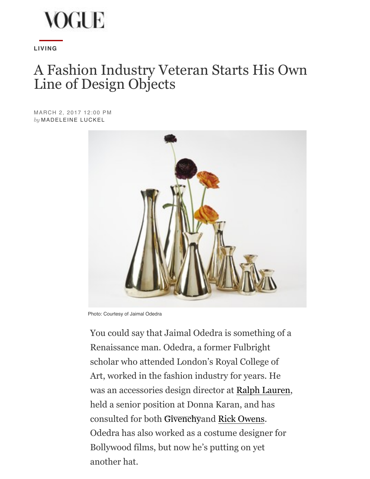

**[LIVING](http://www.vogue.com/living/)**

## A Fashion Industry Veteran Starts His Own Line of Design Objects

MARCH 2, 2017 12:00 PM *by* [MADELEINE LUCKEL](http://www.vogue.com/contributor/madeleine-luckel)



Photo: Courtesy of Jaimal Odedra

You could say that Jaimal Odedra is something of a Renaissance man. Odedra, a former Fulbright scholar who attended London's Royal College of Art, worked in the fashion industry for years. He was an accessories design direct[or at Ralph](http://www.vogue.com/fashion-shows/designer/givenchy) La[uren,](http://www.vogue.com/tag/designer/rick-owens) held a senior position at Donna Karan, and has consulted for both Givenchyand Rick Owens. Odedra has also worked as a costume designer for Bollywood films, but now he's putting on yet another hat.